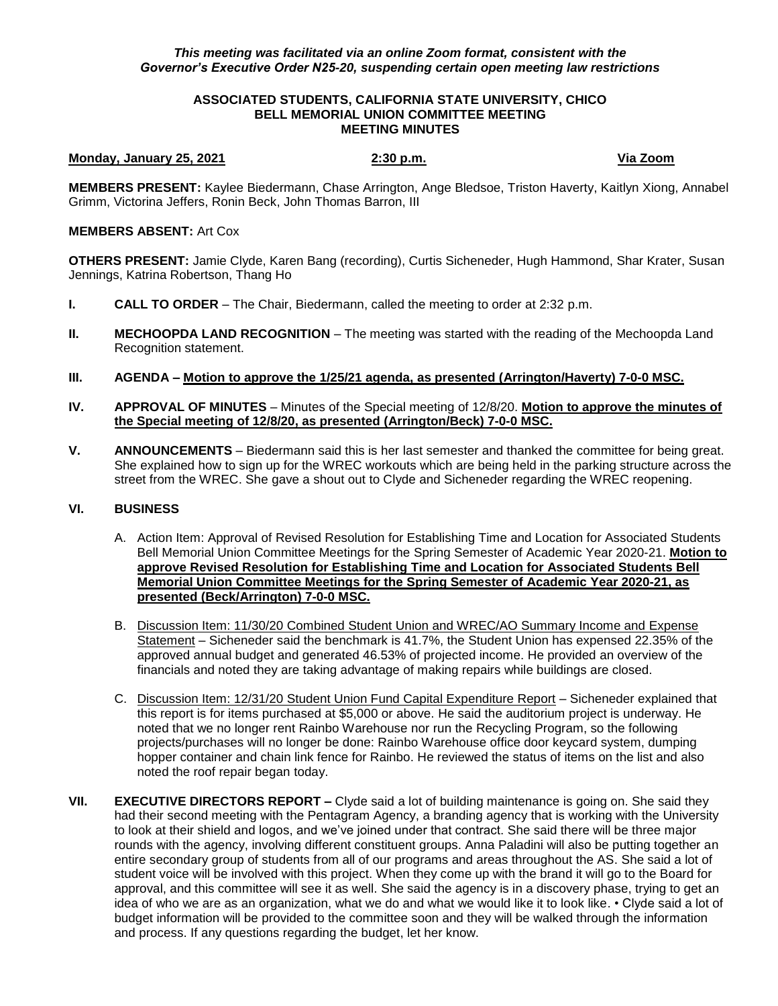### *This meeting was facilitated via an online Zoom format, consistent with the Governor's Executive Order N25-20, suspending certain open meeting law restrictions*

### **ASSOCIATED STUDENTS, CALIFORNIA STATE UNIVERSITY, CHICO BELL MEMORIAL UNION COMMITTEE MEETING MEETING MINUTES**

### **Monday, January 25, 2021 2:30 p.m. Via Zoom**

**MEMBERS PRESENT:** Kaylee Biedermann, Chase Arrington, Ange Bledsoe, Triston Haverty, Kaitlyn Xiong, Annabel Grimm, Victorina Jeffers, Ronin Beck, John Thomas Barron, III

# **MEMBERS ABSENT:** Art Cox

**OTHERS PRESENT:** Jamie Clyde, Karen Bang (recording), Curtis Sicheneder, Hugh Hammond, Shar Krater, Susan Jennings, Katrina Robertson, Thang Ho

- **I. CALL TO ORDER**  The Chair, Biedermann, called the meeting to order at 2:32 p.m.
- **II. MECHOOPDA LAND RECOGNITION** The meeting was started with the reading of the Mechoopda Land Recognition statement.
- **III. AGENDA – Motion to approve the 1/25/21 agenda, as presented (Arrington/Haverty) 7-0-0 MSC.**
- **IV. APPROVAL OF MINUTES** Minutes of the Special meeting of 12/8/20. **Motion to approve the minutes of the Special meeting of 12/8/20, as presented (Arrington/Beck) 7-0-0 MSC.**
- **V. ANNOUNCEMENTS** Biedermann said this is her last semester and thanked the committee for being great. She explained how to sign up for the WREC workouts which are being held in the parking structure across the street from the WREC. She gave a shout out to Clyde and Sicheneder regarding the WREC reopening.

# **VI. BUSINESS**

- A. Action Item: Approval of Revised Resolution for Establishing Time and Location for Associated Students Bell Memorial Union Committee Meetings for the Spring Semester of Academic Year 2020-21. **Motion to approve Revised Resolution for Establishing Time and Location for Associated Students Bell Memorial Union Committee Meetings for the Spring Semester of Academic Year 2020-21, as presented (Beck/Arrington) 7-0-0 MSC.**
- B. Discussion Item: 11/30/20 Combined Student Union and WREC/AO Summary Income and Expense Statement – Sicheneder said the benchmark is 41.7%, the Student Union has expensed 22.35% of the approved annual budget and generated 46.53% of projected income. He provided an overview of the financials and noted they are taking advantage of making repairs while buildings are closed.
- C. Discussion Item: 12/31/20 Student Union Fund Capital Expenditure Report Sicheneder explained that this report is for items purchased at \$5,000 or above. He said the auditorium project is underway. He noted that we no longer rent Rainbo Warehouse nor run the Recycling Program, so the following projects/purchases will no longer be done: Rainbo Warehouse office door keycard system, dumping hopper container and chain link fence for Rainbo. He reviewed the status of items on the list and also noted the roof repair began today.
- **VII. <b>EXECUTIVE DIRECTORS REPORT** Clyde said a lot of building maintenance is going on. She said they had their second meeting with the Pentagram Agency, a branding agency that is working with the University to look at their shield and logos, and we've joined under that contract. She said there will be three major rounds with the agency, involving different constituent groups. Anna Paladini will also be putting together an entire secondary group of students from all of our programs and areas throughout the AS. She said a lot of student voice will be involved with this project. When they come up with the brand it will go to the Board for approval, and this committee will see it as well. She said the agency is in a discovery phase, trying to get an idea of who we are as an organization, what we do and what we would like it to look like. • Clyde said a lot of budget information will be provided to the committee soon and they will be walked through the information and process. If any questions regarding the budget, let her know.